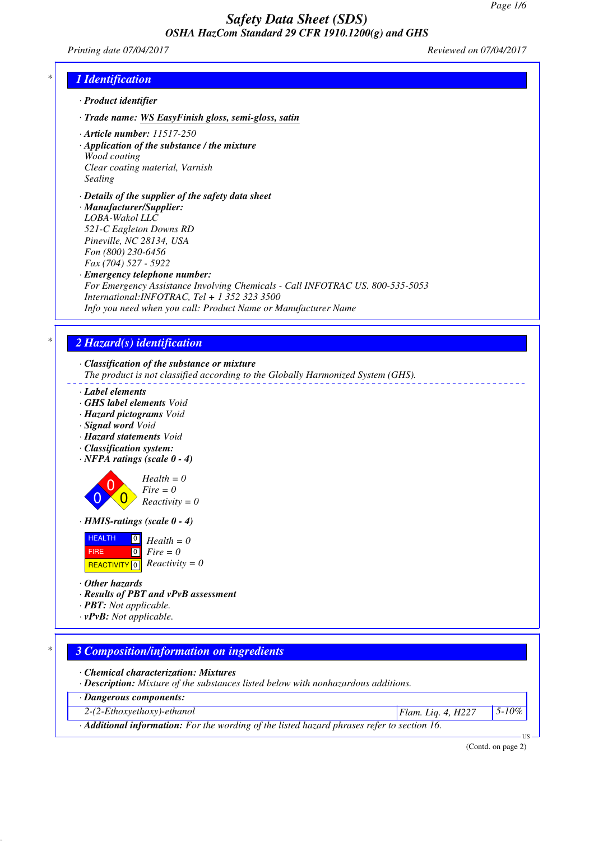*Printing date 07/04/2017 Reviewed on 07/04/2017*

# *\* 1 Identification*

- *· Product identifier*
- *· Trade name: WS EasyFinish gloss, semi-gloss, satin*
- *· Article number: 11517-250*
- *· Application of the substance / the mixture Wood coating Clear coating material, Varnish Sealing*
- *· Details of the supplier of the safety data sheet*
- *· Manufacturer/Supplier: LOBA-Wakol LLC 521-C Eagleton Downs RD Pineville, NC 28134, USA Fon (800) 230-6456 Fax (704) 527 - 5922*
- *· Emergency telephone number:*
- *For Emergency Assistance Involving Chemicals Call INFOTRAC US. 800-535-5053 International:INFOTRAC, Tel + 1 352 323 3500 Info you need when you call: Product Name or Manufacturer Name*

# *\* 2 Hazard(s) identification*

*· Classification of the substance or mixture*

*The product is not classified according to the Globally Harmonized System (GHS).*

- *· Label elements*
- *· GHS label elements Void*
- *· Hazard pictograms Void*
- *· Signal word Void*
- *· Hazard statements Void*
- *· Classification system:*
- *· NFPA ratings (scale 0 4)*

 $\overline{0}$  $\overline{0}$  $\overline{0}$ *Health = 0 Fire = 0 Reactivity = 0*

*· HMIS-ratings (scale 0 - 4)*

| <b>HEALTH</b> | $\blacksquare$ | $Health = 0$                  |
|---------------|----------------|-------------------------------|
| <b>FIRE</b>   |                | $\lceil 0 \rceil$ Fire = 0    |
|               |                | REACTIVITY 0 $Reactivity = 0$ |

*· Other hazards*

- *· Results of PBT and vPvB assessment*
- *· PBT: Not applicable.*

*· vPvB: Not applicable.*

## *\* 3 Composition/information on ingredients*

*· Chemical characterization: Mixtures*

*· Description: Mixture of the substances listed below with nonhazardous additions.*

*· Dangerous components:*

*2-(2-Ethoxyethoxy)-ethanol Flam. Liq. 4, H227 5-10%*

*· Additional information: For the wording of the listed hazard phrases refer to section 16.*

(Contd. on page 2)

US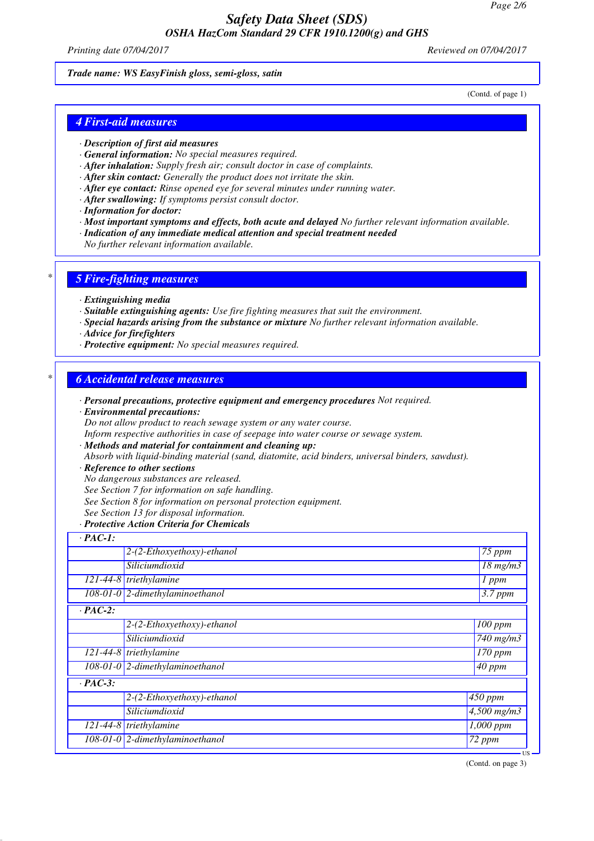*Printing date 07/04/2017 Reviewed on 07/04/2017*

#### *Trade name: WS EasyFinish gloss, semi-gloss, satin*

(Contd. of page 1)

## *4 First-aid measures*

- *· Description of first aid measures*
- *· General information: No special measures required.*
- *· After inhalation: Supply fresh air; consult doctor in case of complaints.*
- *· After skin contact: Generally the product does not irritate the skin.*
- *· After eye contact: Rinse opened eye for several minutes under running water.*
- *· After swallowing: If symptoms persist consult doctor.*
- *· Information for doctor:*
- *· Most important symptoms and effects, both acute and delayed No further relevant information available.*
- *· Indication of any immediate medical attention and special treatment needed*
- *No further relevant information available.*

## *\* 5 Fire-fighting measures*

- *· Extinguishing media*
- *· Suitable extinguishing agents: Use fire fighting measures that suit the environment.*
- *· Special hazards arising from the substance or mixture No further relevant information available.*
- *· Advice for firefighters*
- *· Protective equipment: No special measures required.*

### *\* 6 Accidental release measures*

- *· Personal precautions, protective equipment and emergency procedures Not required.*
- *· Environmental precautions:*

*Do not allow product to reach sewage system or any water course.*

*Inform respective authorities in case of seepage into water course or sewage system.*

*· Methods and material for containment and cleaning up:*

*Absorb with liquid-binding material (sand, diatomite, acid binders, universal binders, sawdust).*

- *· Reference to other sections*
- *No dangerous substances are released.*
- *See Section 7 for information on safe handling.*
- *See Section 8 for information on personal protection equipment.*
- *See Section 13 for disposal information.*
- *· Protective Action Criteria for Chemicals*

| $\cdot$ PAC-1: |                                   |                              |
|----------------|-----------------------------------|------------------------------|
|                | 2-(2-Ethoxyethoxy)-ethanol        | 75 ppm                       |
|                | Siliciumdioxid                    | $18$ mg/m $3$                |
|                | $121-44-8$ triethylamine          | $1$ ppm                      |
|                | 108-01-0 2-dimethylaminoethanol   | $3.7$ ppm                    |
| $\cdot$ PAC-2: |                                   |                              |
|                | 2-(2-Ethoxyethoxy)-ethanol        | $100$ ppm                    |
|                | Siliciumdioxid                    | $\sqrt{740}$ mg/m3           |
|                | $121-44-8$ triethylamine          | 170 ppm                      |
|                | $108-01-0$ 2-dimethylaminoethanol | $\sqrt{40}$ ppm              |
| $\cdot$ PAC-3: |                                   |                              |
|                | 2-(2-Ethoxyethoxy)-ethanol        | 450 ppm                      |
|                | Siliciumdioxid                    | $\sqrt{4,}500 \text{ mg/m}3$ |
|                | $121-44-8$ triethylamine          | 1,000 ppm                    |
|                | $108-01-0$ 2-dimethylaminoethanol | 72 ppm                       |

(Contd. on page 3)

US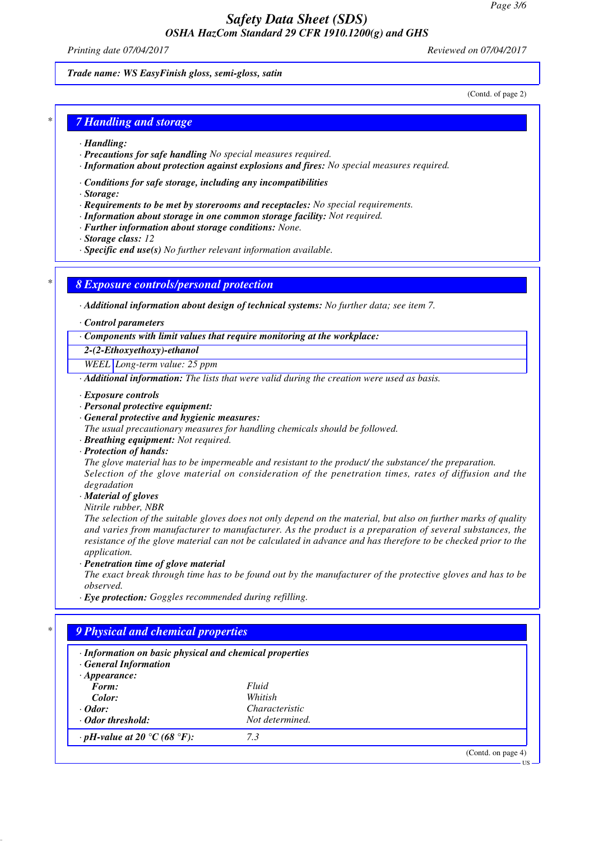*Printing date 07/04/2017 Reviewed on 07/04/2017*

(Contd. of page 2)

*Trade name: WS EasyFinish gloss, semi-gloss, satin*

*\* 7 Handling and storage*

- *· Handling:*
- *· Precautions for safe handling No special measures required.*
- *· Information about protection against explosions and fires: No special measures required.*
- *· Conditions for safe storage, including any incompatibilities*

*· Storage:*

- *· Requirements to be met by storerooms and receptacles: No special requirements.*
- *· Information about storage in one common storage facility: Not required.*
- *· Further information about storage conditions: None.*
- *· Storage class: 12*
- *· Specific end use(s) No further relevant information available.*

*\* 8 Exposure controls/personal protection*

*· Additional information about design of technical systems: No further data; see item 7.*

*· Control parameters*

*· Components with limit values that require monitoring at the workplace:*

*2-(2-Ethoxyethoxy)-ethanol*

*WEEL Long-term value: 25 ppm*

*· Additional information: The lists that were valid during the creation were used as basis.*

- *· Exposure controls*
- *· Personal protective equipment:*
- *· General protective and hygienic measures:*

*The usual precautionary measures for handling chemicals should be followed.*

- *· Breathing equipment: Not required.*
- *· Protection of hands:*

*The glove material has to be impermeable and resistant to the product/ the substance/ the preparation. Selection of the glove material on consideration of the penetration times, rates of diffusion and the degradation*

*· Material of gloves*

*Nitrile rubber, NBR*

*The selection of the suitable gloves does not only depend on the material, but also on further marks of quality and varies from manufacturer to manufacturer. As the product is a preparation of several substances, the resistance of the glove material can not be calculated in advance and has therefore to be checked prior to the application.*

*· Penetration time of glove material*

*The exact break through time has to be found out by the manufacturer of the protective gloves and has to be observed.*

*· Eye protection: Goggles recommended during refilling.*

| · Information on basic physical and chemical properties<br>· General Information |                 |  |
|----------------------------------------------------------------------------------|-----------------|--|
| $\cdot$ Appearance:                                                              |                 |  |
| Form:                                                                            | Fluid           |  |
| Color:                                                                           | Whitish         |  |
| $\cdot$ Odor:                                                                    | Characteristic  |  |
| Odor threshold:                                                                  | Not determined. |  |
| $\cdot$ pH-value at 20 °C (68 °F):                                               | 7.3             |  |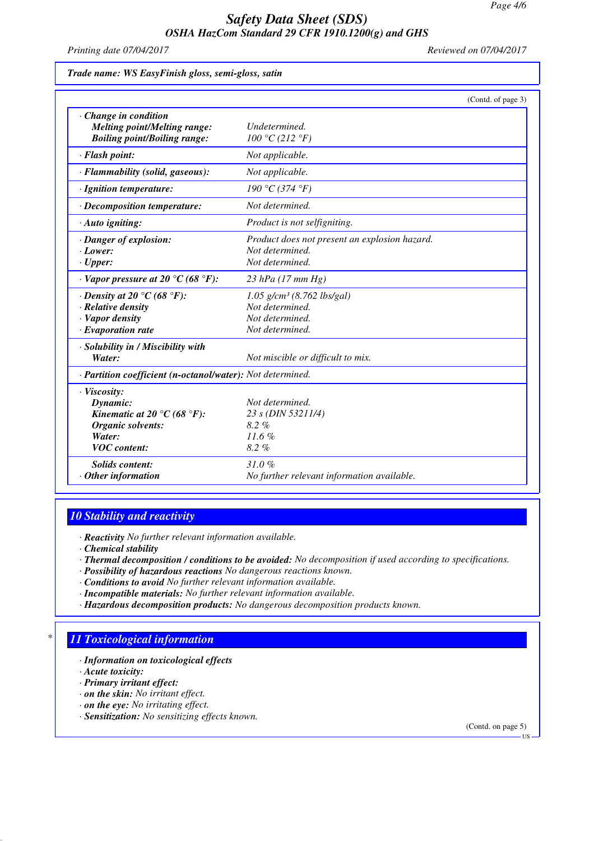*Printing date 07/04/2017 Reviewed on 07/04/2017*

*Trade name: WS EasyFinish gloss, semi-gloss, satin*

|                                                            | (Contd. of page 3)                            |
|------------------------------------------------------------|-----------------------------------------------|
| Change in condition<br><b>Melting point/Melting range:</b> | Undetermined.                                 |
| <b>Boiling point/Boiling range:</b>                        | 100 °C (212 °F)                               |
| · Flash point:                                             | Not applicable.                               |
| · Flammability (solid, gaseous):                           | Not applicable.                               |
| · Ignition temperature:                                    | 190 °C (374 °F)                               |
| · Decomposition temperature:                               | Not determined.                               |
| $\cdot$ Auto igniting:                                     | Product is not selfigniting.                  |
| · Danger of explosion:                                     | Product does not present an explosion hazard. |
| $\cdot$ Lower:                                             | Not determined.                               |
| $\cdot$ Upper:                                             | Not determined.                               |
| $\cdot$ Vapor pressure at 20 °C (68 °F):                   | 23 hPa $(17 \, \text{mm Hg})$                 |
| $\cdot$ Density at 20 °C (68 °F):                          | $1.05$ g/cm <sup>3</sup> (8.762 lbs/gal)      |
| · Relative density                                         | Not determined.                               |
| · Vapor density                                            | Not determined.                               |
| $\cdot$ Evaporation rate                                   | Not determined.                               |
| · Solubility in / Miscibility with                         |                                               |
| Water:                                                     | Not miscible or difficult to mix.             |
| · Partition coefficient (n-octanol/water): Not determined. |                                               |
| · Viscosity:                                               |                                               |
| Dynamic:                                                   | Not determined.                               |
| Kinematic at 20 °C (68 °F):                                | 23 s (DIN 53211/4)                            |
| Organic solvents:                                          | $8.2\%$                                       |
| Water:                                                     | 11.6%                                         |
| <b>VOC</b> content:                                        | 8.2%                                          |
| <b>Solids content:</b>                                     | 31.0%                                         |
| $\cdot$ Other information                                  | No further relevant information available.    |

# *10 Stability and reactivity*

*· Reactivity No further relevant information available.*

- *· Chemical stability*
- *· Thermal decomposition / conditions to be avoided: No decomposition if used according to specifications.*
- *· Possibility of hazardous reactions No dangerous reactions known.*
- *· Conditions to avoid No further relevant information available.*
- *· Incompatible materials: No further relevant information available.*
- *· Hazardous decomposition products: No dangerous decomposition products known.*

# *\* 11 Toxicological information*

*· Information on toxicological effects*

*· Acute toxicity:*

- *· Primary irritant effect:*
- *· on the skin: No irritant effect.*
- *· on the eye: No irritating effect.*
- *· Sensitization: No sensitizing effects known.*

(Contd. on page 5)

US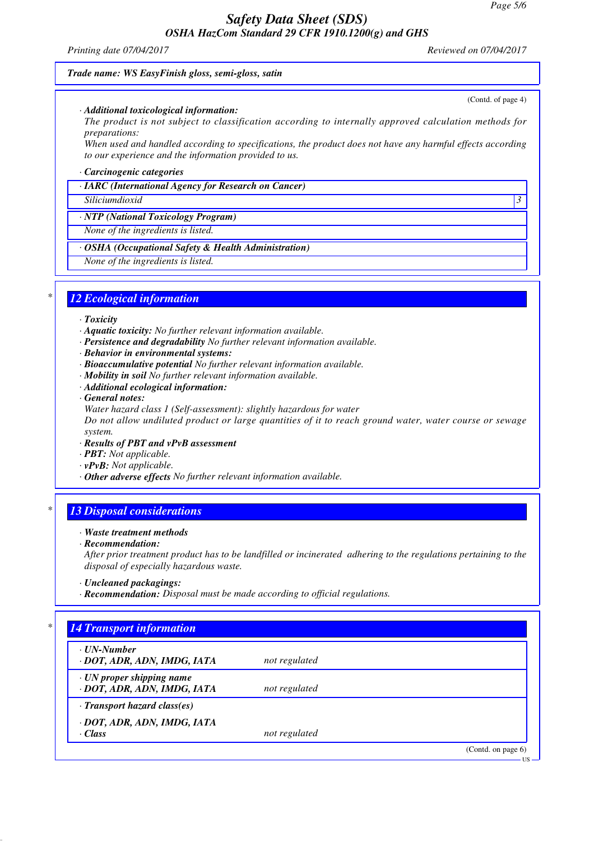#### *Printing date 07/04/2017 Reviewed on 07/04/2017*

#### *Trade name: WS EasyFinish gloss, semi-gloss, satin*

#### *· Additional toxicological information:*

*The product is not subject to classification according to internally approved calculation methods for preparations:*

*When used and handled according to specifications, the product does not have any harmful effects according to our experience and the information provided to us.*

#### *· Carcinogenic categories*

#### *· IARC (International Agency for Research on Cancer)*

*Siliciumdioxid 3* 

#### *· NTP (National Toxicology Program)*

*None of the ingredients is listed.*

### *· OSHA (Occupational Safety & Health Administration)*

*None of the ingredients is listed.*

### *\* 12 Ecological information*

- *· Toxicity*
- *· Aquatic toxicity: No further relevant information available.*
- *· Persistence and degradability No further relevant information available.*
- *· Behavior in environmental systems:*
- *· Bioaccumulative potential No further relevant information available.*
- *· Mobility in soil No further relevant information available.*
- *· Additional ecological information:*
- *· General notes:*
- *Water hazard class 1 (Self-assessment): slightly hazardous for water*

*Do not allow undiluted product or large quantities of it to reach ground water, water course or sewage system.*

- *· Results of PBT and vPvB assessment*
- *· PBT: Not applicable.*
- *· vPvB: Not applicable.*
- *· Other adverse effects No further relevant information available.*

## *\* 13 Disposal considerations*

#### *· Waste treatment methods*

*· Recommendation:*

*After prior treatment product has to be landfilled or incinerated adhering to the regulations pertaining to the disposal of especially hazardous waste.*

- *· Uncleaned packagings:*
- *· Recommendation: Disposal must be made according to official regulations.*

# *\* 14 Transport information*

| $\cdot$ UN-Number<br>· DOT, ADR, ADN, IMDG, IATA               | not regulated |                       |
|----------------------------------------------------------------|---------------|-----------------------|
| $\cdot$ UN proper shipping name<br>· DOT, ADR, ADN, IMDG, IATA | not regulated |                       |
| $\cdot$ Transport hazard class(es)                             |               |                       |
| · DOT, ADR, ADN, IMDG, IATA<br>$\cdot$ Class                   | not regulated |                       |
|                                                                |               | (Contd. on page $6$ ) |